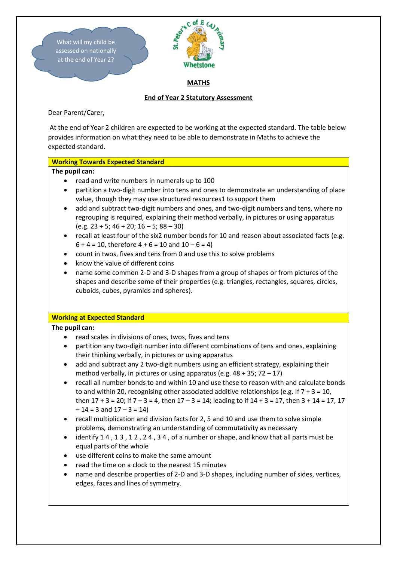

Dear Parent/Carer,

At the end of Year 2 children are expected to be working at the expected standard. The table below provides information on what they need to be able to demonstrate in Maths to achieve the expected standard.

# **Working Towards Expected Standard**

### **The pupil can:**

- read and write numbers in numerals up to 100
- partition a two-digit number into tens and ones to demonstrate an understanding of place value, though they may use structured resources1 to support them
- add and subtract two-digit numbers and ones, and two-digit numbers and tens, where no regrouping is required, explaining their method verbally, in pictures or using apparatus  $(e.g. 23 + 5; 46 + 20; 16 - 5; 88 - 30)$
- recall at least four of the six2 number bonds for 10 and reason about associated facts (e.g.  $6 + 4 = 10$ , therefore  $4 + 6 = 10$  and  $10 - 6 = 4$ )
- count in twos, fives and tens from 0 and use this to solve problems
- know the value of different coins
- name some common 2-D and 3-D shapes from a group of shapes or from pictures of the shapes and describe some of their properties (e.g. triangles, rectangles, squares, circles, cuboids, cubes, pyramids and spheres).

#### **Working at Expected Standard**

# **The pupil can:**

- read scales in divisions of ones, twos, fives and tens
- partition any two-digit number into different combinations of tens and ones, explaining their thinking verbally, in pictures or using apparatus
- add and subtract any 2 two-digit numbers using an efficient strategy, explaining their method verbally, in pictures or using apparatus (e.g.  $48 + 35$ ;  $72 - 17$ )
- recall all number bonds to and within 10 and use these to reason with and calculate bonds to and within 20, recognising other associated additive relationships (e.g. If  $7 + 3 = 10$ , then  $17 + 3 = 20$ ; if  $7 - 3 = 4$ , then  $17 - 3 = 14$ ; leading to if  $14 + 3 = 17$ , then  $3 + 14 = 17$ ,  $17$  $-14 = 3$  and  $17 - 3 = 14$ )
- recall multiplication and division facts for 2, 5 and 10 and use them to solve simple problems, demonstrating an understanding of commutativity as necessary
- identify 1 4 , 1 3 , 1 2 , 2 4 , 3 4 , of a number or shape, and know that all parts must be equal parts of the whole
- use different coins to make the same amount
- read the time on a clock to the nearest 15 minutes
- name and describe properties of 2-D and 3-D shapes, including number of sides, vertices, edges, faces and lines of symmetry.